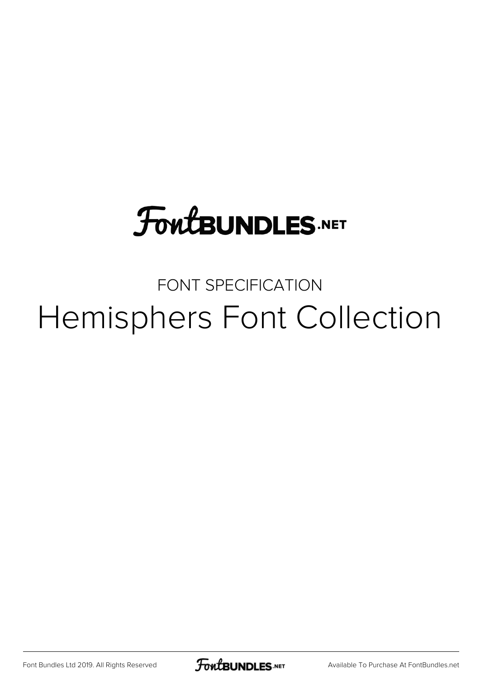## **FoutBUNDLES.NET**

#### FONT SPECIFICATION Hemisphers Font Collection

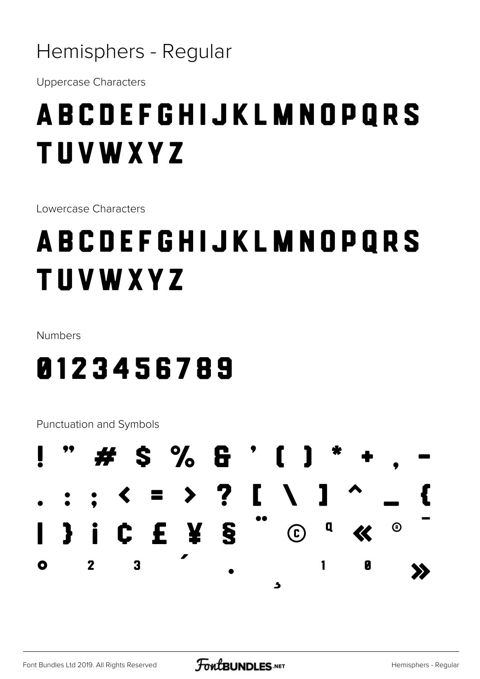**Uppercase Characters** 

#### ABCDEFGHIJKLMNOPORS **TUVWXYZ**

Lowercase Characters

### ABCDEFGHIJKLMNOPQRS **TUVWXYZ**

Numbers

#### 0123456789

Punctuation and Symbols

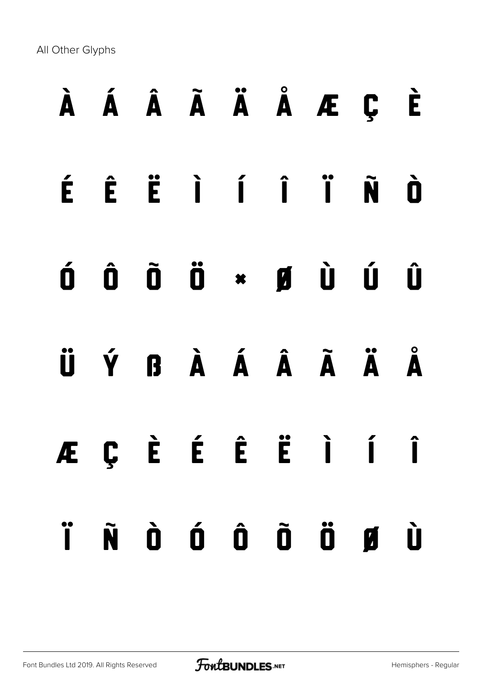All Other Glyphs

|  |  |  | À Á Â Ã Ä Å Æ Ç È                                                                                                                                                                                                                                                                                                                                                                                                                    |  |
|--|--|--|--------------------------------------------------------------------------------------------------------------------------------------------------------------------------------------------------------------------------------------------------------------------------------------------------------------------------------------------------------------------------------------------------------------------------------------|--|
|  |  |  | ÉÊËÌÍÏÑÒ                                                                                                                                                                                                                                                                                                                                                                                                                             |  |
|  |  |  | $\begin{array}{ccccccccccccc} \textbf{0} & \textbf{0} & \textbf{0} & \textbf{0} & \textbf{0} & \textbf{0} & \textbf{0} & \textbf{0} & \textbf{0} & \textbf{0} & \textbf{0} & \textbf{0} & \textbf{0} & \textbf{0} & \textbf{0} & \textbf{0} & \textbf{0} & \textbf{0} & \textbf{0} & \textbf{0} & \textbf{0} & \textbf{0} & \textbf{0} & \textbf{0} & \textbf{0} & \textbf{0} & \textbf{0} & \textbf{0} & \textbf{0} & \textbf{0} &$ |  |
|  |  |  | ÜÝ BÀÁ ÂÃ ÄÄ                                                                                                                                                                                                                                                                                                                                                                                                                         |  |
|  |  |  | ÆÇÈÉÊËÌÍÎ                                                                                                                                                                                                                                                                                                                                                                                                                            |  |
|  |  |  | ÏÑ Ò Ó Ô Õ Ö Ø Ù                                                                                                                                                                                                                                                                                                                                                                                                                     |  |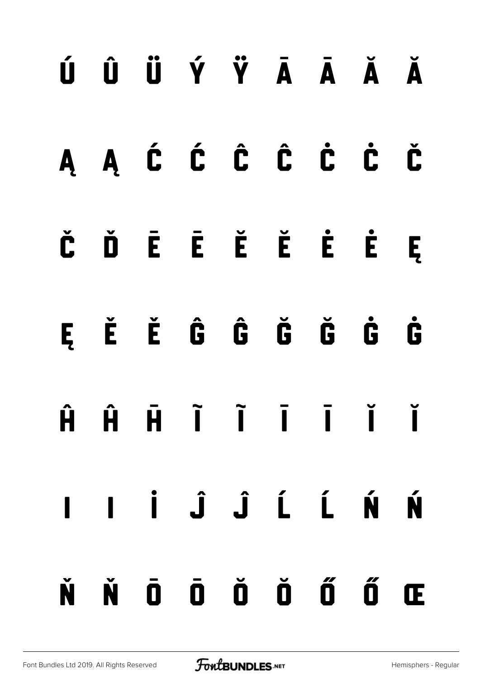# ú û ü ý ÿ Ā ā Ă ă Ą ą Ć ć Ĉ ĉ Ċ ċ Č č Ď Ē ē Ĕ ĕ Ė ė Ę ę Ě ě Ĝ ĝ Ğ ğ Ġ ġ Ĥ ĥ ħ Ĩ ĩ Ī ī Ĭ ĭ Į į İ Ĵ ĵ Ĺ ĺ Ń ń Ň ň Ō ō Ŏ ŏ Ő ő Œ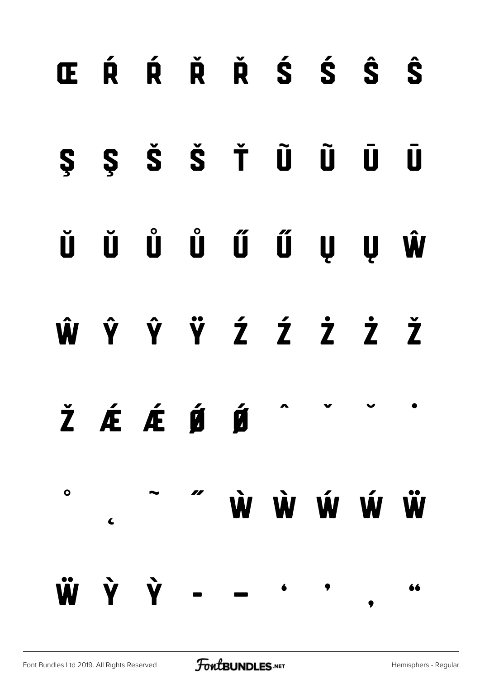## œ Ŕ ŕ Ř ř Ś ś Ŝ ŝ Ş ş Š š Ť Ũ ũ Ū ū Ŭ ŭ Ů ů Ű ű Ų ų Ŵ ŵ Ŷ ŷ Ÿ Ź ź Ż ż Ž  $\check{\mathbf{Z}}$   $\acute{\mathbf{E}}$   $\acute{\mathbf{E}}$   $\acute{\mathbf{E}}$   $\acute{\mathbf{E}}$   $\acute{\mathbf{E}}$   $\acute{\mathbf{E}}$ ˚ ˛ ˜ ˝ Ẁ ẁ Ẃ ẃ Ẅ  $\dot{Y}$   $\dot{Y}$  $\bullet$   $\bullet$ ' 66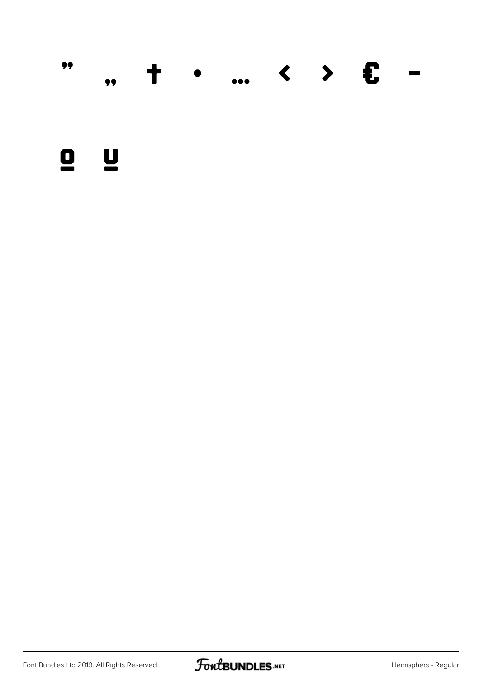

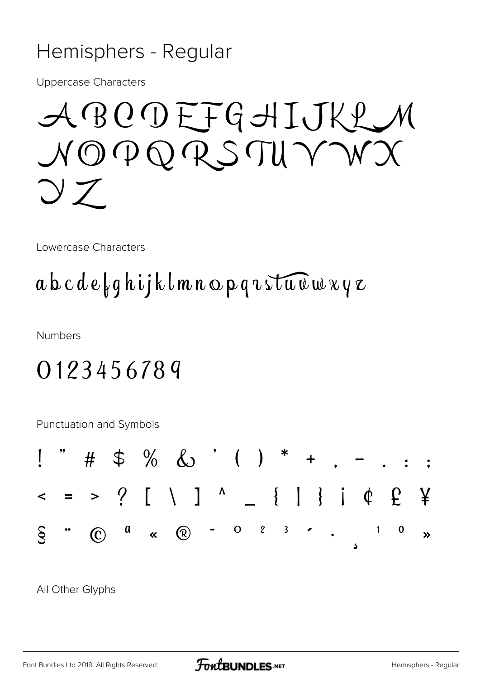**Uppercase Characters** 

ABODEFGHIJKLM NOPORSTUYWX  $\bigcirc$   $Z$ 

Lowercase Characters

#### $a b c d e \nmid q h i j k l m n o p q u s t u u w v q z$

**Numbers** 

#### 0123456789

Punctuation and Symbols



All Other Glyphs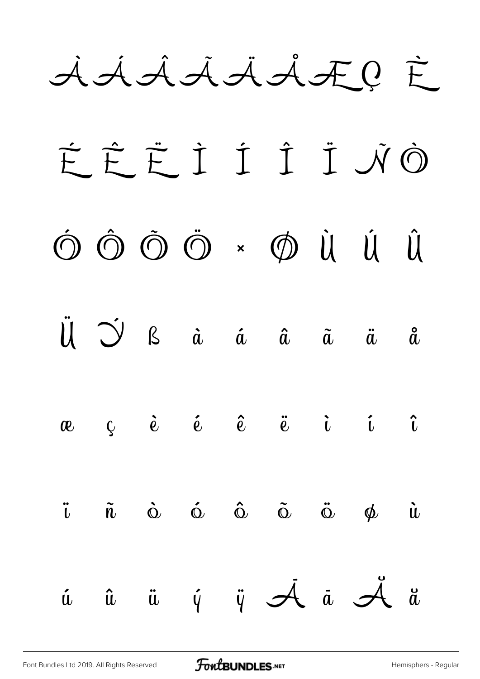AÁAAAAÆQ È

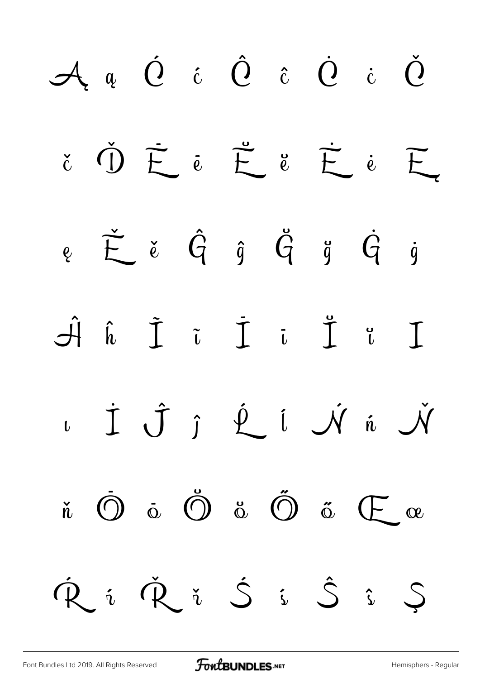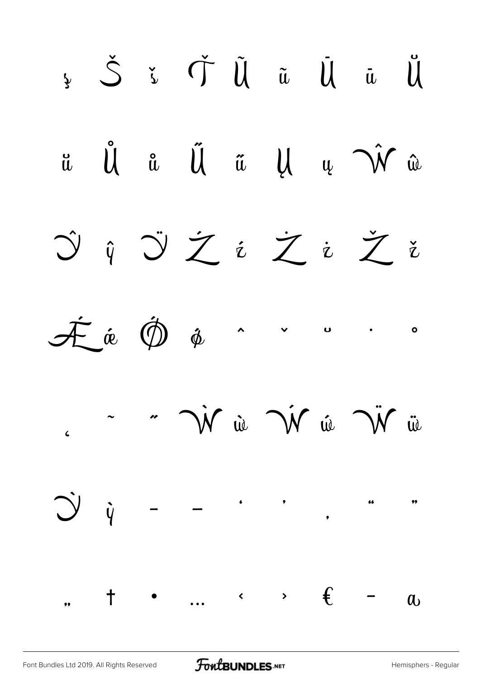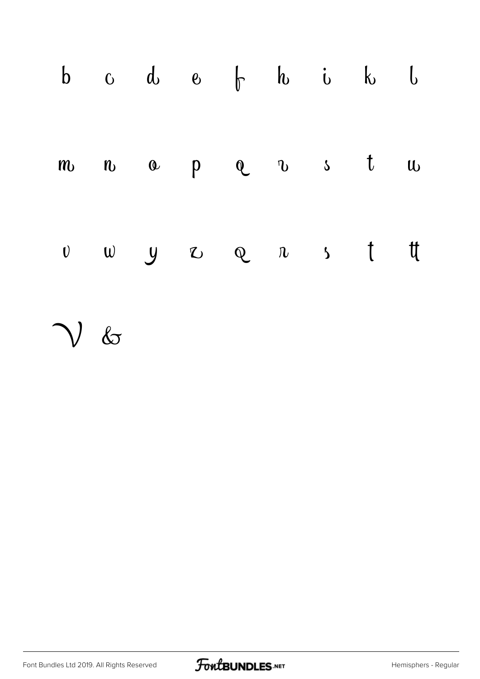|                 |  | $b$ $c$ $d$ $e$ $f$ $h$ $i$ $k$ $l$                                                        |  |  |
|-----------------|--|--------------------------------------------------------------------------------------------|--|--|
|                 |  | $m$ $n$ $q$ $p$ $q$ $q$ s $t$ $u$                                                          |  |  |
|                 |  | $\begin{array}{ccccccccccccccccccccc} v & w & y & z & z & z & n & s & t & t & \end{array}$ |  |  |
| $\mathcal{V}$ & |  |                                                                                            |  |  |

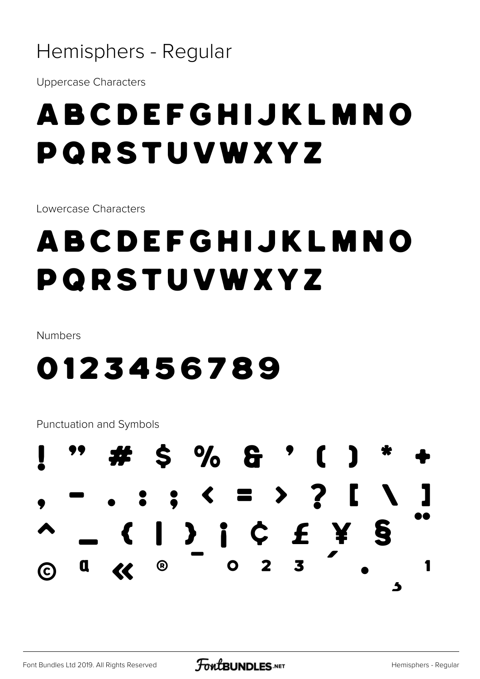**Uppercase Characters** 

### ABCDEFGHIJKLMNO PORSTUVWXYZ

Lowercase Characters

## ABCDEFGHIJKLMNO PORSTUVWXYZ

Numbers

#### 0123456789

Punctuation and Symbols

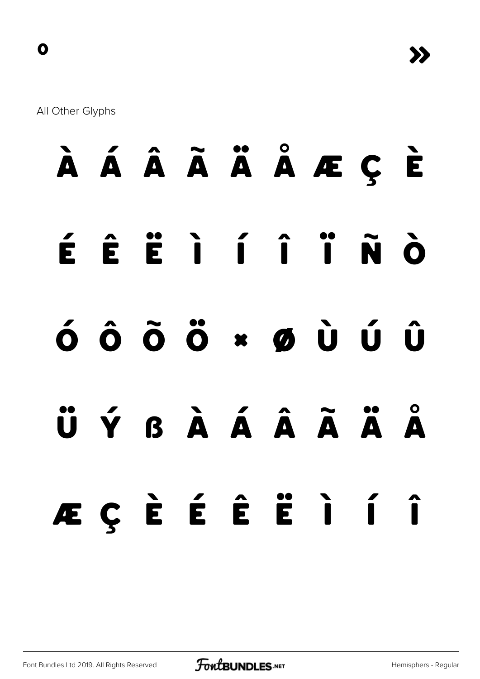All Other Glyphs

**À Á Â Ã Ä Å Æ Ç È É Ê Ë Ì Í Î Ï Ñ Ò Ó Ô Õ Ö × Ø Ù Ú Û Ü Ý ß à á â ã ä å æ ç è é ê ë ì í î**

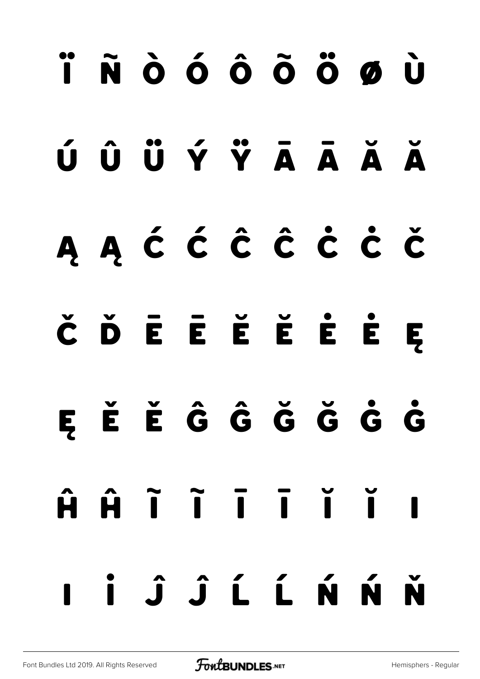# **ï ñ ò ó ô õ ö ø ù ú û ü ý ÿ Ā ā Ă ă Ą ą Ć ć Ĉ ĉ Ċ ċ Č č Ď Ē ē Ĕ ĕ Ė ė Ę ę Ě ě Ĝ ĝ Ğ ğ Ġ ġ Ĥ ĥ Ĩ ĩ Ī ī Ĭ ĭ Į į İ Ĵ ĵ Ĺ ĺ Ń ń Ň**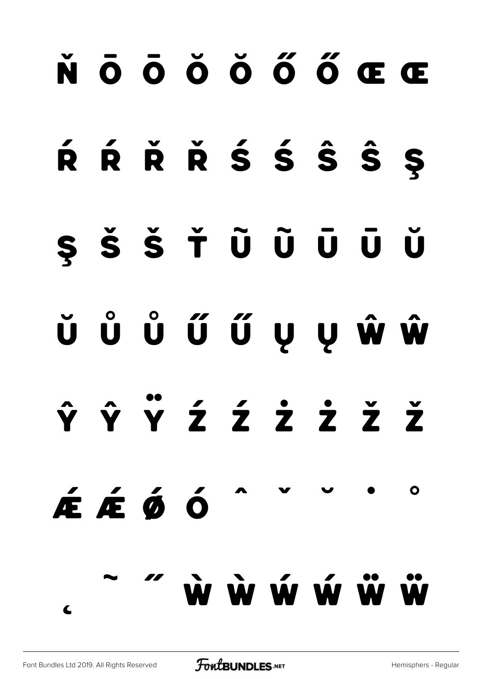## **ň Ō ō Ŏ ŏ Ő ő Œ œ**

## **Ŕ ŕ Ř ř Ś ś Ŝ ŝ Ş**

## **ş Š š Ť Ũ ũ Ū ū Ŭ**

# **ŭ Ů ů Ű ű Ų ų Ŵ ŵ**

## **Ŷ ŷ Ÿ Ź ź Ż ż Ž ž**

# **˜ ˝ Ẁ ẁ Ẃ ẃ Ẅ ẅ**

**˛**

**Ǽ ǽ Ǿ ǿ ˆ ˇ ˘ ˙ ˚**

 $\Omega$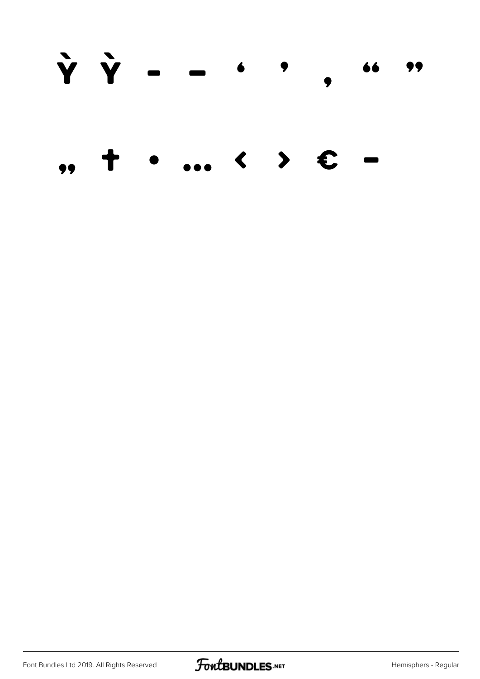Y Y - - $\bullet$   $\bullet$ 99 66  $\blacktriangleright$  $\overline{\mathbf{C}}$ £  $\bullet$  $\bullet$ 

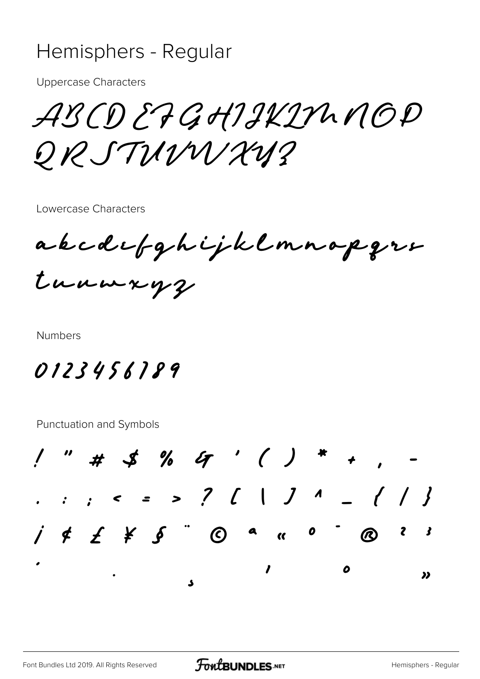**Uppercase Characters** 

ABCDEFGHIJKINNOP ORSTUMNAY?

Lowercase Characters

akcdefghijklmnapgre tunnxyz

**Numbers** 

0123456189

Punctuation and Symbols

" # \$ % G ' ( ) \* + , . . , < = > ? [ | ] ^ \_ { / }  $i \notin f$   $j \notin g$   $\circledcirc$   $\circ$   $\circ$   $\circ$   $\circ$   $\circ$  $\mathbf{3}$  $\mathbf{z}$  $\mathbf{I}$  $\boldsymbol{o}$ >>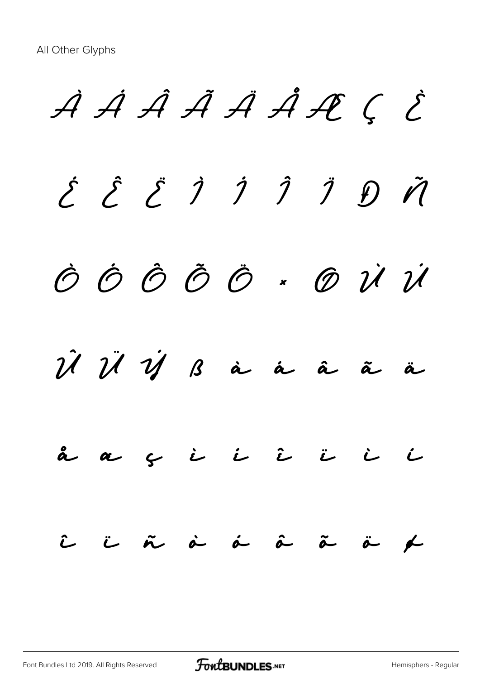À Á Â Ã Ä Å Æ Ç È É Ê Ë Ì Í Î Ï Ð Ñ Ò Ó Ô Õ Ö × Ø Ù Ú  $\hat{\mathcal{U}}$   $\ddot{\mathcal{U}}$   $\dot{\mathcal{U}}$   $\dot{\mathcal{B}}$   $\dot{\mathbf{a}}$   $\dot{\mathbf{a}}$   $\ddot{\mathbf{a}}$   $\ddot{\mathbf{a}}$ å æ ç è é ê ë ì í  $\hat{L}$  i  $\tilde{n}$  à  $\hat{a}$   $\hat{a}$   $\tilde{a}$   $\tilde{a}$   $\neq$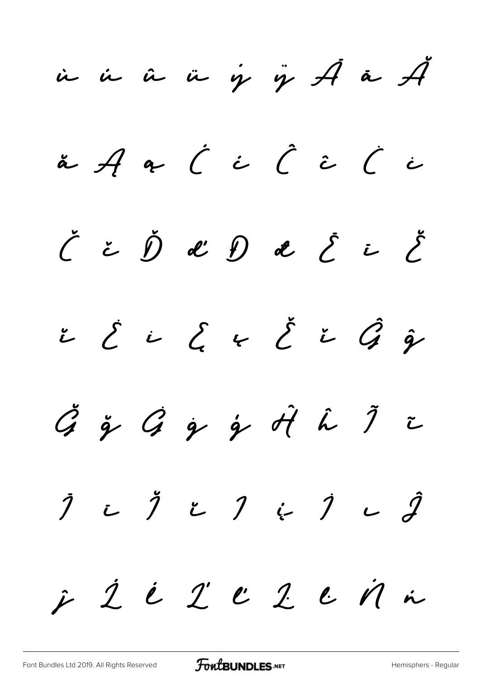$\dot{u}$   $\dot{u}$   $\ddot{u}$   $\dot{\gamma}$   $\ddot{\gamma}$   $\ddot{\mathcal{A}}$   $\ddot{\alpha}$   $\ddot{\mathcal{A}}$  $\check{a}$  A  $\circ$   $\acute{c}$   $\acute{c}$   $\acute{c}$   $\acute{c}$   $\acute{c}$   $\acute{c}$  $\check{\mathcal{C}}$  č  $\check{\mathcal{D}}$  d  $\mathcal{D}$  d  $\mathcal{E}$  i  $\check{\mathcal{E}}$  $\check{c}$   $\check{c}$   $\check{c}$   $\check{c}$   $\check{c}$   $\check{c}$   $\hat{g}$  $\check{G}$  ğ  $\hat{G}$  g  $\hat{g}$   $\hat{d}$   $\hat{d}$   $\hat{d}$   $\hat{J}$   $\hat{\tau}$  $\begin{array}{cccccccccccccc} \hat{J} & \text{I} & \text{I} & \text{I} & \text{I} & \text{I} & \text{I} & \text{I} & \text{I} & \text{I} & \text{I} & \text{I} & \text{I} & \text{I} & \text{I} & \text{I} & \text{I} & \text{I} & \text{I} & \text{I} & \text{I} & \text{I} & \text{I} & \text{I} & \text{I} & \text{I} & \text{I} & \text{I} & \text{I} & \text{I} & \text{I} & \text{I} & \text{I} & \text{I} & \text{I} &$  $\hat{z}$   $\hat{z}$   $\hat{z}$   $\hat{z}$   $\hat{z}$   $\hat{z}$   $\hat{z}$   $\hat{z}$   $\hat{z}$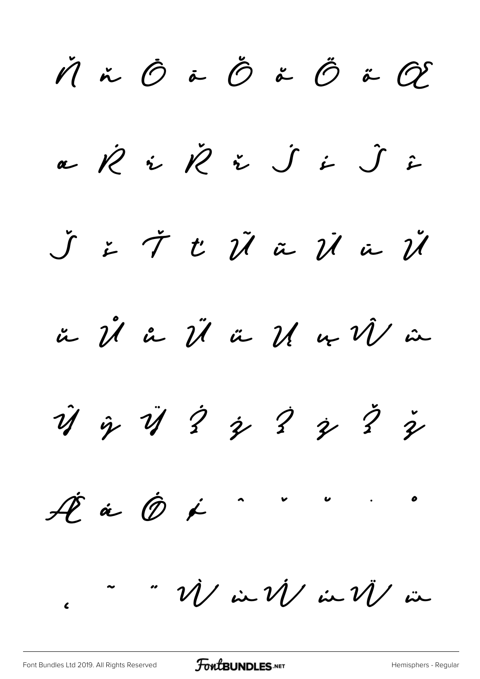$\check{M}$  ň  $\hat{O}$  ö  $\check{O}$  ö  $\tilde{O}$  ö  $\tilde{O}$  ö  $\tilde{O}$  $\alpha$   $\dot{\mathcal{R}}$   $\dot{\mathcal{R}}$   $\dot{\mathcal{L}}$   $\dot{\mathcal{S}}$   $\dot{\mathcal{S}}$   $\dot{\mathcal{L}}$   $\dot{\mathcal{S}}$   $\dot{\mathcal{L}}$ Š š Ť ť Ũ ũ Ū ū Ŭ ŭ Ů ů Ű ű Ų ų Ŵ ŵ  $\hat{y}$   $\hat{y}$   $\hat{y}$   $\hat{z}$   $\hat{z}$   $\hat{z}$   $\hat{z}$  $A$  $\stackrel{\circ}{\sim}$   $\stackrel{\circ}{\sim}$   $\stackrel{\circ}{\sim}$   $\stackrel{\circ}{\sim}$  $\ddot{\phantom{a}}$   $\ddot{\phantom{a}}$   $\ddot{\phantom{a}}$   $\ddot{\phantom{a}}$   $\dot{\phantom{a}}$   $\dot{\phantom{a}}$   $\dot{\phantom{a}}$   $\dot{\phantom{a}}$   $\dot{\phantom{a}}$   $\dot{\phantom{a}}$   $\dot{\phantom{a}}$   $\dot{\phantom{a}}$   $\dot{\phantom{a}}$   $\dot{\phantom{a}}$   $\dot{\phantom{a}}$   $\dot{\phantom{a}}$   $\dot{\phantom{a}}$   $\dot{\phantom{a}}$   $\ddot{\phantom{a}}$   $\ddot{\phantom$